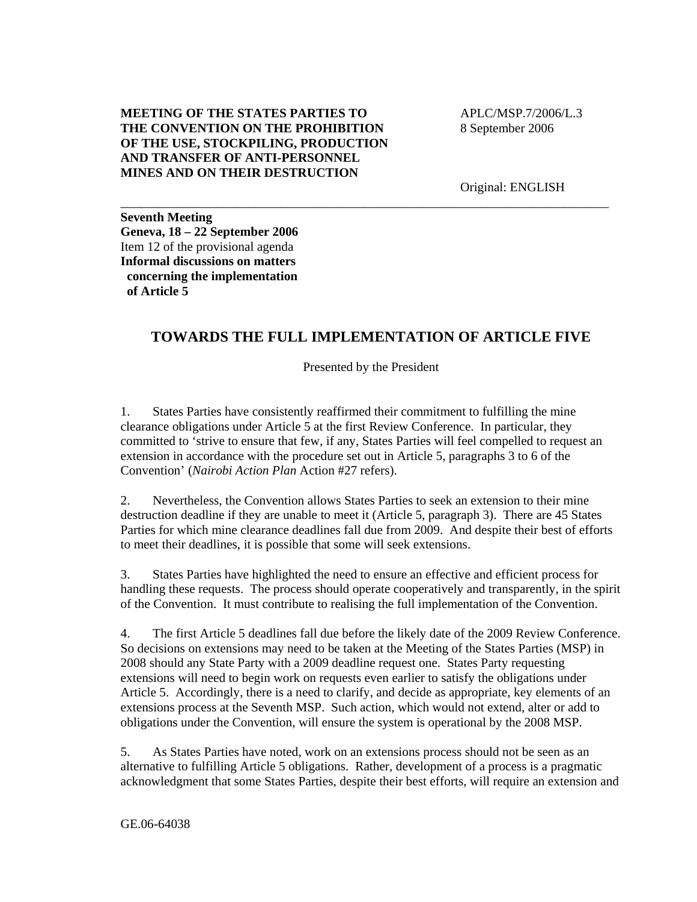## **MEETING OF THE STATES PARTIES TO THE CONVENTION ON THE PROHIBITION OF THE USE, STOCKPILING, PRODUCTION AND TRANSFER OF ANTI-PERSONNEL MINES AND ON THEIR DESTRUCTION**

 APLC/MSP.7/2006/L.3 8 September 2006

Original: ENGLISH

**Seventh Meeting Geneva, 18 – 22 September 2006**  Item 12 of the provisional agenda **Informal discussions on matters concerning the implementation of Article 5** 

# **TOWARDS THE FULL IMPLEMENTATION OF ARTICLE FIVE**

\_\_\_\_\_\_\_\_\_\_\_\_\_\_\_\_\_\_\_\_\_\_\_\_\_\_\_\_\_\_\_\_\_\_\_\_\_\_\_\_\_\_\_\_\_\_\_\_\_\_\_\_\_\_\_\_\_\_\_\_\_\_\_\_\_\_\_\_\_\_\_\_\_\_\_\_

Presented by the President

1. States Parties have consistently reaffirmed their commitment to fulfilling the mine clearance obligations under Article 5 at the first Review Conference. In particular, they committed to 'strive to ensure that few, if any, States Parties will feel compelled to request an extension in accordance with the procedure set out in Article 5, paragraphs 3 to 6 of the Convention' (*Nairobi Action Plan* Action #27 refers).

2. Nevertheless, the Convention allows States Parties to seek an extension to their mine destruction deadline if they are unable to meet it (Article 5, paragraph 3). There are 45 States Parties for which mine clearance deadlines fall due from 2009. And despite their best of efforts to meet their deadlines, it is possible that some will seek extensions.

3. States Parties have highlighted the need to ensure an effective and efficient process for handling these requests. The process should operate cooperatively and transparently, in the spirit of the Convention. It must contribute to realising the full implementation of the Convention.

4. The first Article 5 deadlines fall due before the likely date of the 2009 Review Conference. So decisions on extensions may need to be taken at the Meeting of the States Parties (MSP) in 2008 should any State Party with a 2009 deadline request one. States Party requesting extensions will need to begin work on requests even earlier to satisfy the obligations under Article 5. Accordingly, there is a need to clarify, and decide as appropriate, key elements of an extensions process at the Seventh MSP. Such action, which would not extend, alter or add to obligations under the Convention, will ensure the system is operational by the 2008 MSP.

5. As States Parties have noted, work on an extensions process should not be seen as an alternative to fulfilling Article 5 obligations. Rather, development of a process is a pragmatic acknowledgment that some States Parties, despite their best efforts, will require an extension and

GE.06-64038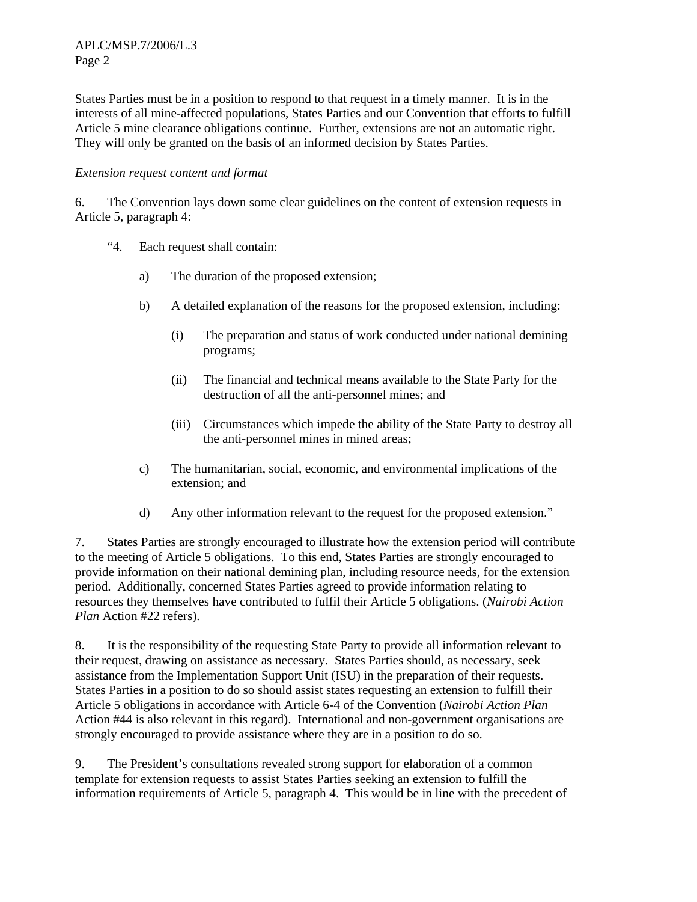States Parties must be in a position to respond to that request in a timely manner. It is in the interests of all mine-affected populations, States Parties and our Convention that efforts to fulfill Article 5 mine clearance obligations continue. Further, extensions are not an automatic right. They will only be granted on the basis of an informed decision by States Parties.

## *Extension request content and format*

6. The Convention lays down some clear guidelines on the content of extension requests in Article 5, paragraph 4:

- "4. Each request shall contain:
	- a) The duration of the proposed extension;
	- b) A detailed explanation of the reasons for the proposed extension, including:
		- (i) The preparation and status of work conducted under national demining programs;
		- (ii) The financial and technical means available to the State Party for the destruction of all the anti-personnel mines; and
		- (iii) Circumstances which impede the ability of the State Party to destroy all the anti-personnel mines in mined areas;
	- c) The humanitarian, social, economic, and environmental implications of the extension; and
	- d) Any other information relevant to the request for the proposed extension."

7. States Parties are strongly encouraged to illustrate how the extension period will contribute to the meeting of Article 5 obligations. To this end, States Parties are strongly encouraged to provide information on their national demining plan, including resource needs, for the extension period. Additionally, concerned States Parties agreed to provide information relating to resources they themselves have contributed to fulfil their Article 5 obligations. (*Nairobi Action Plan* Action #22 refers).

8. It is the responsibility of the requesting State Party to provide all information relevant to their request, drawing on assistance as necessary. States Parties should, as necessary, seek assistance from the Implementation Support Unit (ISU) in the preparation of their requests. States Parties in a position to do so should assist states requesting an extension to fulfill their Article 5 obligations in accordance with Article 6-4 of the Convention (*Nairobi Action Plan*  Action #44 is also relevant in this regard). International and non-government organisations are strongly encouraged to provide assistance where they are in a position to do so.

9. The President's consultations revealed strong support for elaboration of a common template for extension requests to assist States Parties seeking an extension to fulfill the information requirements of Article 5, paragraph 4. This would be in line with the precedent of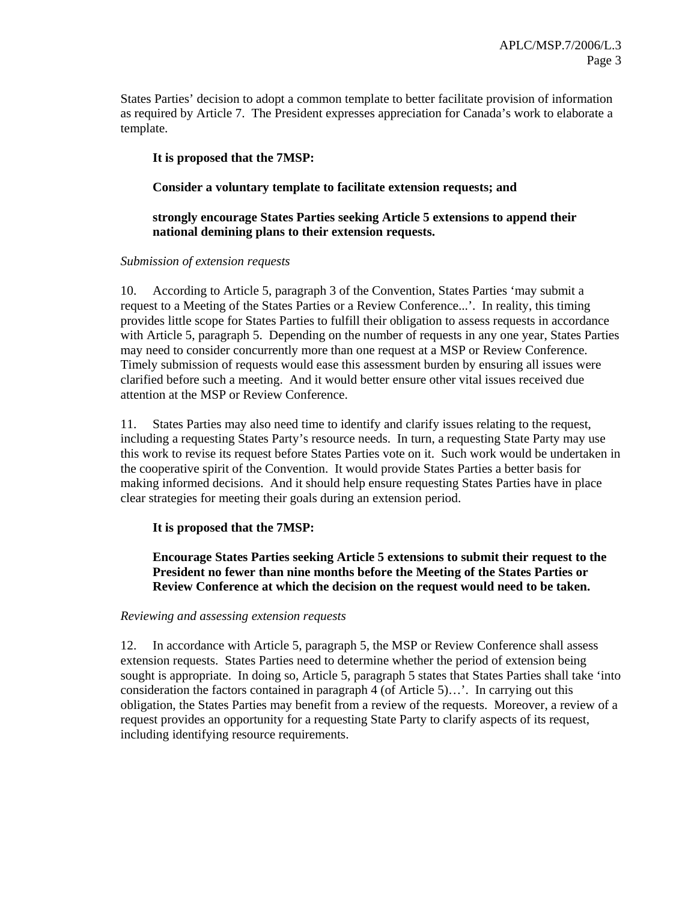States Parties' decision to adopt a common template to better facilitate provision of information as required by Article 7. The President expresses appreciation for Canada's work to elaborate a template.

## **It is proposed that the 7MSP:**

## **Consider a voluntary template to facilitate extension requests; and**

## **strongly encourage States Parties seeking Article 5 extensions to append their national demining plans to their extension requests.**

#### *Submission of extension requests*

10. According to Article 5, paragraph 3 of the Convention, States Parties 'may submit a request to a Meeting of the States Parties or a Review Conference...'. In reality, this timing provides little scope for States Parties to fulfill their obligation to assess requests in accordance with Article 5, paragraph 5. Depending on the number of requests in any one year, States Parties may need to consider concurrently more than one request at a MSP or Review Conference. Timely submission of requests would ease this assessment burden by ensuring all issues were clarified before such a meeting. And it would better ensure other vital issues received due attention at the MSP or Review Conference.

11. States Parties may also need time to identify and clarify issues relating to the request, including a requesting States Party's resource needs. In turn, a requesting State Party may use this work to revise its request before States Parties vote on it. Such work would be undertaken in the cooperative spirit of the Convention. It would provide States Parties a better basis for making informed decisions. And it should help ensure requesting States Parties have in place clear strategies for meeting their goals during an extension period.

#### **It is proposed that the 7MSP:**

**Encourage States Parties seeking Article 5 extensions to submit their request to the President no fewer than nine months before the Meeting of the States Parties or Review Conference at which the decision on the request would need to be taken.** 

#### *Reviewing and assessing extension requests*

12. In accordance with Article 5, paragraph 5, the MSP or Review Conference shall assess extension requests. States Parties need to determine whether the period of extension being sought is appropriate. In doing so, Article 5, paragraph 5 states that States Parties shall take 'into consideration the factors contained in paragraph 4 (of Article 5)…'. In carrying out this obligation, the States Parties may benefit from a review of the requests. Moreover, a review of a request provides an opportunity for a requesting State Party to clarify aspects of its request, including identifying resource requirements.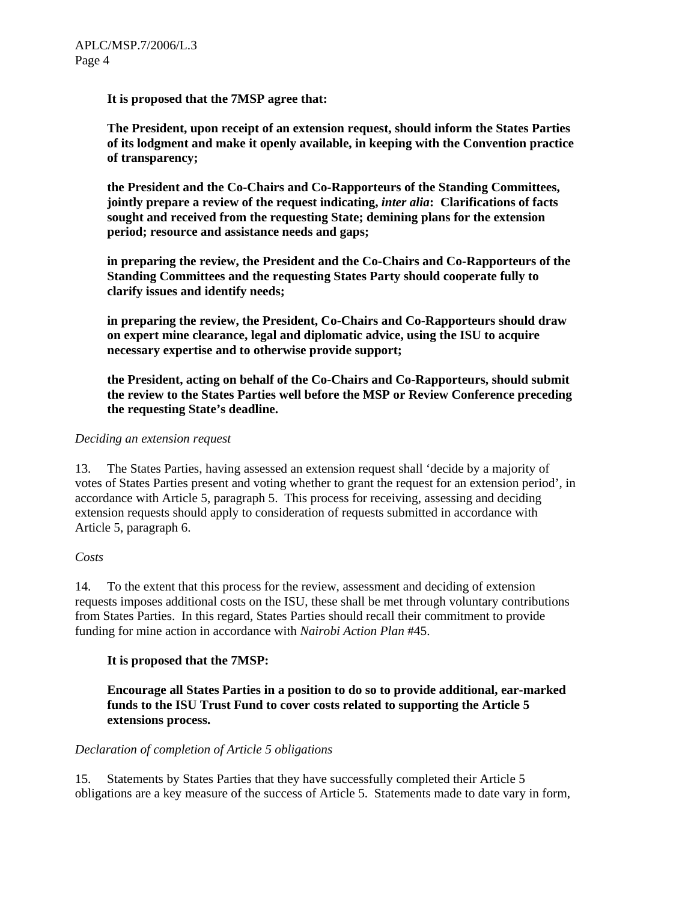## **It is proposed that the 7MSP agree that:**

**The President, upon receipt of an extension request, should inform the States Parties of its lodgment and make it openly available, in keeping with the Convention practice of transparency;**

**the President and the Co-Chairs and Co-Rapporteurs of the Standing Committees, jointly prepare a review of the request indicating,** *inter alia***: Clarifications of facts sought and received from the requesting State; demining plans for the extension period; resource and assistance needs and gaps;** 

**in preparing the review, the President and the Co-Chairs and Co-Rapporteurs of the Standing Committees and the requesting States Party should cooperate fully to clarify issues and identify needs;**

**in preparing the review, the President, Co-Chairs and Co-Rapporteurs should draw on expert mine clearance, legal and diplomatic advice, using the ISU to acquire necessary expertise and to otherwise provide support;** 

**the President, acting on behalf of the Co-Chairs and Co-Rapporteurs, should submit the review to the States Parties well before the MSP or Review Conference preceding the requesting State's deadline.** 

#### *Deciding an extension request*

13. The States Parties, having assessed an extension request shall 'decide by a majority of votes of States Parties present and voting whether to grant the request for an extension period', in accordance with Article 5, paragraph 5. This process for receiving, assessing and deciding extension requests should apply to consideration of requests submitted in accordance with Article 5, paragraph 6.

# *Costs*

14. To the extent that this process for the review, assessment and deciding of extension requests imposes additional costs on the ISU, these shall be met through voluntary contributions from States Parties. In this regard, States Parties should recall their commitment to provide funding for mine action in accordance with *Nairobi Action Plan* #45.

# **It is proposed that the 7MSP:**

**Encourage all States Parties in a position to do so to provide additional, ear-marked funds to the ISU Trust Fund to cover costs related to supporting the Article 5 extensions process.** 

#### *Declaration of completion of Article 5 obligations*

15. Statements by States Parties that they have successfully completed their Article 5 obligations are a key measure of the success of Article 5. Statements made to date vary in form,